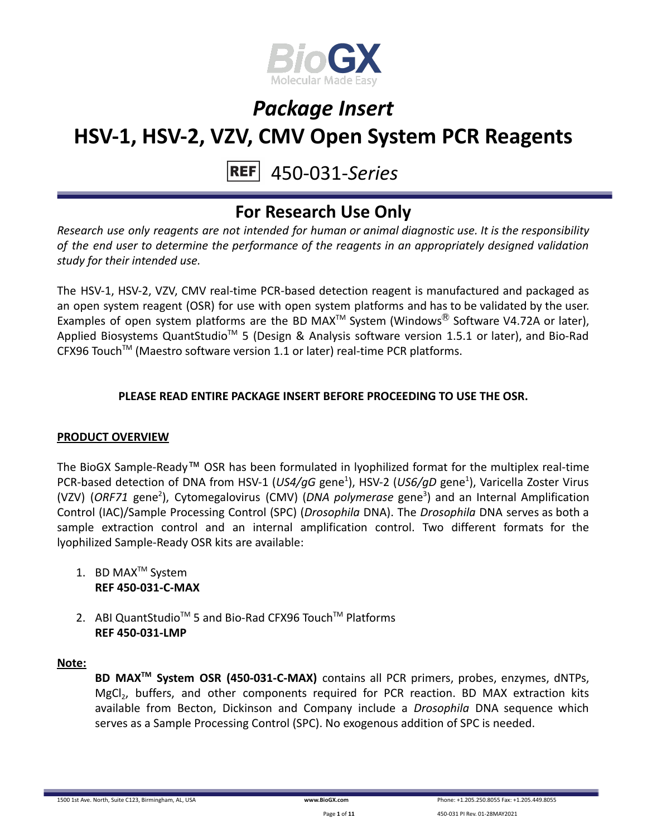

#### 450-031-*Series* **REF**

### **For Research Use Only**

*Research use only reagents are not intended for human or animal diagnostic use. It is the responsibility of the end user to determine the performance of the reagents in an appropriately designed validation study for their intended use.*

The HSV-1, HSV-2, VZV, CMV real-time PCR-based detection reagent is manufactured and packaged as an open system reagent (OSR) for use with open system platforms and has to be validated by the user. Examples of open system platforms are the BD MAX<sup>TM</sup> System (Windows<sup>®</sup> Software V4.72A or later), Applied Biosystems QuantStudio<sup>™</sup> 5 (Design & Analysis software version 1.5.1 or later), and Bio-Rad CFX96 Touch<sup>™</sup> (Maestro software version 1.1 or later) real-time PCR platforms.

### **PLEASE READ ENTIRE PACKAGE INSERT BEFORE PROCEEDING TO USE THE OSR.**

### **PRODUCT OVERVIEW**

The BioGX Sample-Ready™ OSR has been formulated in lyophilized format for the multiplex real-time PCR-based detection of DNA from HSV-1 (*US4/gG* gene<sup>1</sup>), HSV-2 (*US6/gD* gene<sup>1</sup>), Varicella Zoster Virus (VZV) (ORF71 gene<sup>2</sup>), Cytomegalovirus (CMV) (DNA polymerase gene<sup>3</sup>) and an Internal Amplification Control (IAC)/Sample Processing Control (SPC) (*Drosophila* DNA). The *Drosophila* DNA serves as both a sample extraction control and an internal amplification control. Two different formats for the lyophilized Sample-Ready OSR kits are available:

- 1. BD MAX<sup>™</sup> System **REF 450-031-C-MAX**
- 2. ABI QuantStudio<sup>™</sup> 5 and Bio-Rad CFX96 Touch™ Platforms **REF 450-031-LMP**

#### **Note:**

**BD MAXTM System OSR (450-031-C-MAX)** contains all PCR primers, probes, enzymes, dNTPs, MgCl<sub>2</sub>, buffers, and other components required for PCR reaction. BD MAX extraction kits available from Becton, Dickinson and Company include a *Drosophila* DNA sequence which serves as a Sample Processing Control (SPC). No exogenous addition of SPC is needed.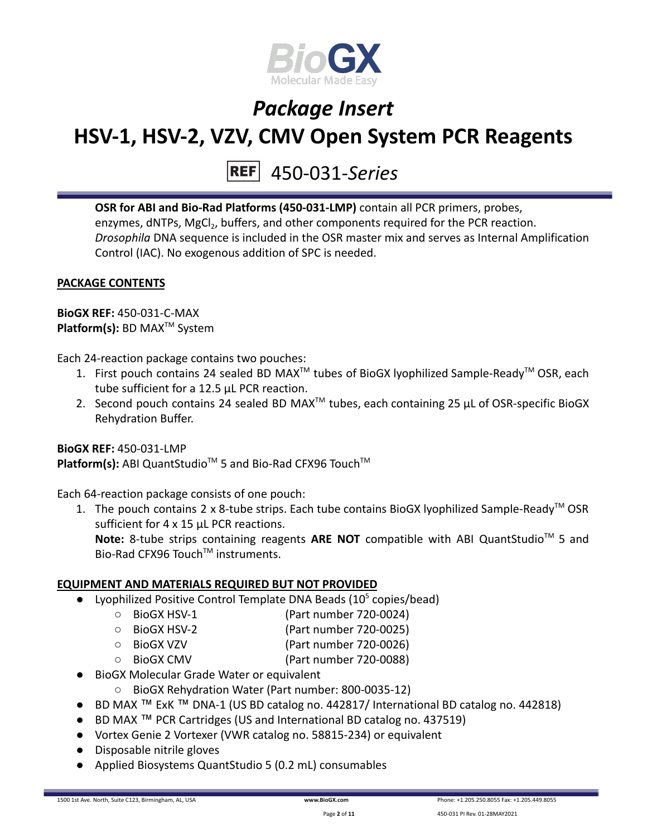

# 450-031-*Series*

**OSR for ABI and Bio-Rad Platforms (450-031-LMP)** contain all PCR primers, probes, enzymes, dNTPs, MgCl<sub>2</sub>, buffers, and other components required for the PCR reaction. *Drosophila* DNA sequence is included in the OSR master mix and serves as Internal Amplification Control (IAC). No exogenous addition of SPC is needed.

### **PACKAGE CONTENTS**

**BioGX REF:** 450-031-C-MAX **Platform(s):** BD MAX<sup>™</sup> System

Each 24-reaction package contains two pouches:

- 1. First pouch contains 24 sealed BD MAX<sup>™</sup> tubes of BioGX lyophilized Sample-Ready<sup>™</sup> OSR, each tube sufficient for a 12.5 µL PCR reaction.
- 2. Second pouch contains 24 sealed BD MAX<sup>™</sup> tubes, each containing 25  $\mu$ L of OSR-specific BioGX Rehydration Buffer.

**BioGX REF:** 450-031-LMP Platform(s): ABI QuantStudio<sup>™</sup> 5 and Bio-Rad CFX96 Touch<sup>™</sup>

Each 64-reaction package consists of one pouch:

1. The pouch contains 2 x 8-tube strips. Each tube contains BioGX lyophilized Sample-Ready<sup>™</sup> OSR sufficient for 4 x 15 uL PCR reactions. Note: 8-tube strips containing reagents ARE NOT compatible with ABI QuantStudio<sup>™</sup> 5 and Bio-Rad CFX96 Touch™ instruments.

### **EQUIPMENT AND MATERIALS REQUIRED BUT NOT PROVIDED**

- Lyophilized Positive Control Template DNA Beads  $(10^5 \text{ copies/head})$ 
	- BioGX HSV-1 (Part number 720-0024)
	- BioGX HSV-2 (Part number 720-0025)
	- BioGX VZV (Part number 720-0026)
	- BioGX CMV (Part number 720-0088)
- BioGX Molecular Grade Water or equivalent
	- BioGX Rehydration Water (Part number: 800-0035-12)
- BD MAX ™ ExK ™ DNA-1 (US BD catalog no. 442817/ International BD catalog no. 442818)
- BD MAX ™ PCR Cartridges (US and International BD catalog no. 437519)
- Vortex Genie 2 Vortexer (VWR catalog no. 58815-234) or equivalent
- Disposable nitrile gloves
- Applied Biosystems QuantStudio 5 (0.2 mL) consumables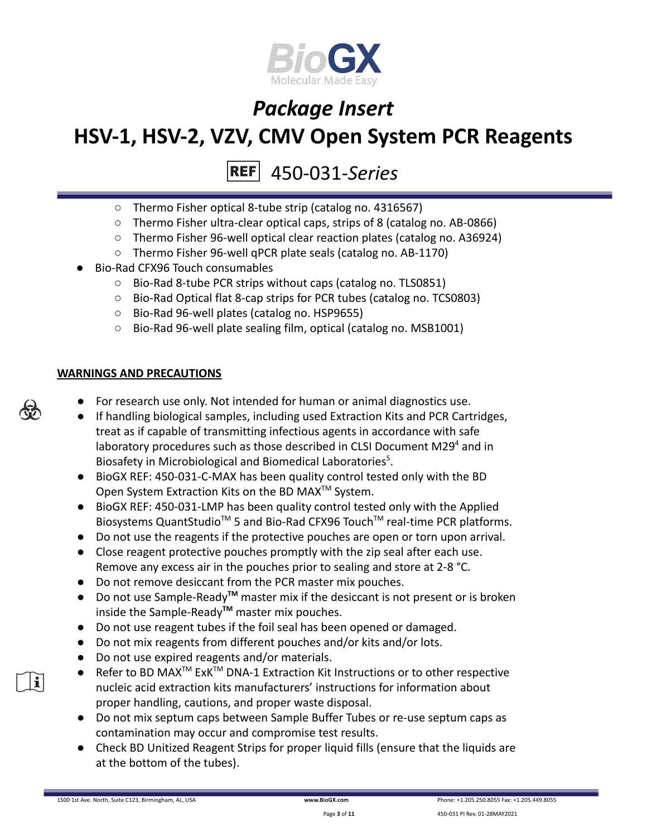

#### 450-031-*Series* **REF**

- Thermo Fisher optical 8-tube strip (catalog no. 4316567)
- Thermo Fisher ultra-clear optical caps, strips of 8 (catalog no. AB-0866)
- Thermo Fisher 96-well optical clear reaction plates (catalog no. A36924)
- Thermo Fisher 96-well qPCR plate seals (catalog no. AB-1170)
- Bio-Rad CFX96 Touch consumables
	- Bio-Rad 8-tube PCR strips without caps (catalog no. TLS0851)
	- Bio-Rad Optical flat 8-cap strips for PCR tubes (catalog no. TCS0803)
	- Bio-Rad 96-well plates (catalog no. HSP9655)
	- Bio-Rad 96-well plate sealing film, optical (catalog no. MSB1001)

#### **WARNINGS AND PRECAUTIONS**

- For research use only. Not intended for human or animal diagnostics use.
- If handling biological samples, including used Extraction Kits and PCR Cartridges, treat as if capable of transmitting infectious agents in accordance with safe laboratory procedures such as those described in CLSI Document M29 $4$  and in Biosafety in Microbiological and Biomedical Laboratories<sup>5</sup>.
- BioGX REF: 450-031-C-MAX has been quality control tested only with the BD Open System Extraction Kits on the BD MAX<sup>™</sup> System.
- BioGX REF: 450-031-LMP has been quality control tested only with the Applied Biosystems QuantStudio<sup>™</sup> 5 and Bio-Rad CFX96 Touch<sup>™</sup> real-time PCR platforms.
- Do not use the reagents if the protective pouches are open or torn upon arrival.
- Close reagent protective pouches promptly with the zip seal after each use. Remove any excess air in the pouches prior to sealing and store at 2-8 °C.
- Do not remove desiccant from the PCR master mix pouches.
- Do not use Sample-Ready**TM** master mix if the desiccant is not present or is broken inside the Sample-Ready**TM** master mix pouches.
- Do not use reagent tubes if the foil seal has been opened or damaged.
- Do not mix reagents from different pouches and/or kits and/or lots.
- Do not use expired reagents and/or materials.
- Refer to BD MAX<sup>™</sup> ExK<sup>™</sup> DNA-1 Extraction Kit Instructions or to other respective nucleic acid extraction kits manufacturers' instructions for information about proper handling, cautions, and proper waste disposal.
- Do not mix septum caps between Sample Buffer Tubes or re-use septum caps as contamination may occur and compromise test results.
- Check BD Unitized Reagent Strips for proper liquid fills (ensure that the liquids are at the bottom of the tubes).



i.

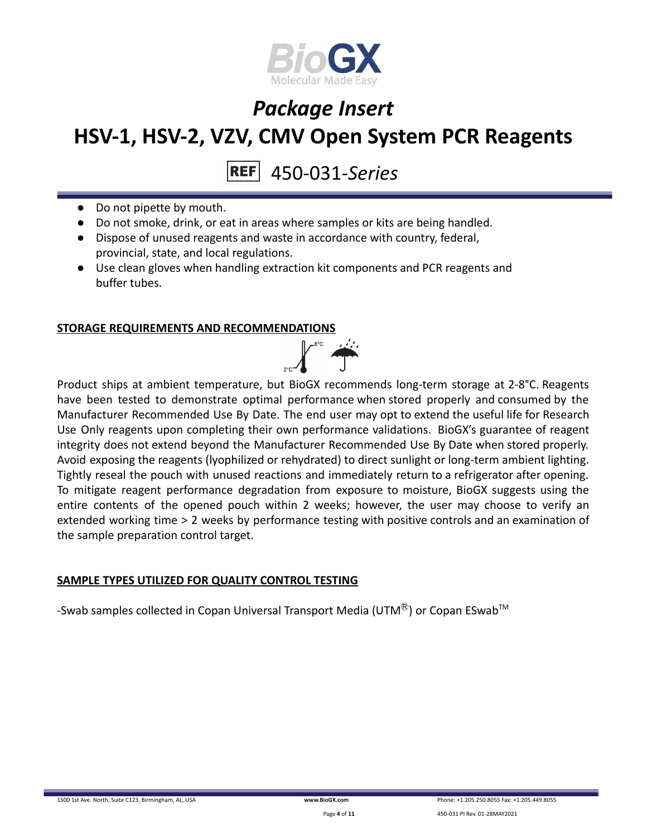

450-031-*Series*

- Do not pipette by mouth.
- Do not smoke, drink, or eat in areas where samples or kits are being handled.
- Dispose of unused reagents and waste in accordance with country, federal, provincial, state, and local regulations.
- Use clean gloves when handling extraction kit components and PCR reagents and buffer tubes.

#### **STORAGE REQUIREMENTS AND RECOMMENDATIONS**



Product ships at ambient temperature, but BioGX recommends long-term storage at 2-8°C. Reagents have been tested to demonstrate optimal performance when stored properly and consumed by the Manufacturer Recommended Use By Date. The end user may opt to extend the useful life for Research Use Only reagents upon completing their own performance validations. BioGX's guarantee of reagent integrity does not extend beyond the Manufacturer Recommended Use By Date when stored properly. Avoid exposing the reagents (lyophilized or rehydrated) to direct sunlight or long-term ambient lighting. Tightly reseal the pouch with unused reactions and immediately return to a refrigerator after opening. To mitigate reagent performance degradation from exposure to moisture, BioGX suggests using the entire contents of the opened pouch within 2 weeks; however, the user may choose to verify an extended working time > 2 weeks by performance testing with positive controls and an examination of the sample preparation control target.

#### **SAMPLE TYPES UTILIZED FOR QUALITY CONTROL TESTING**

-Swab samples collected in Copan Universal Transport Media (UTM $^{\circledR}$ ) or Copan ESwab<sup>TM</sup>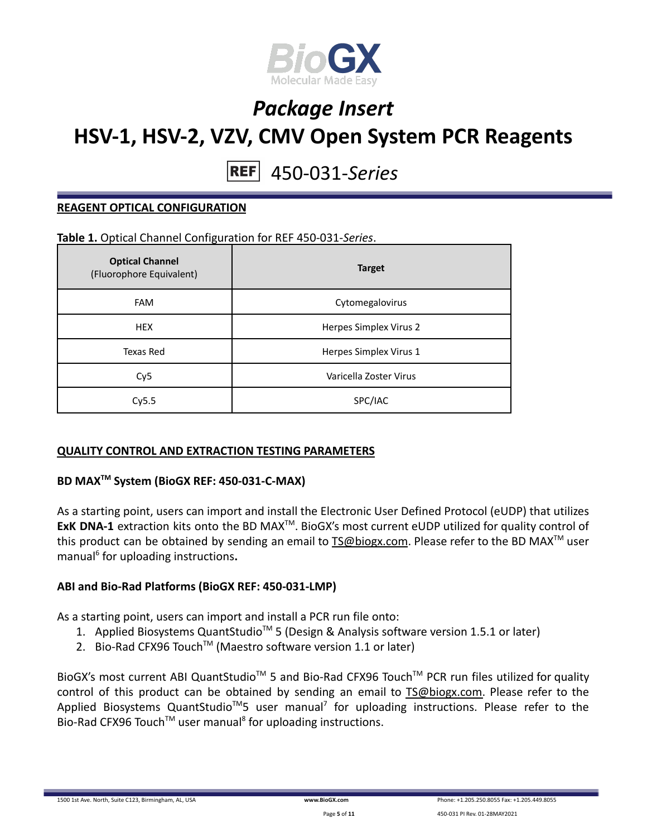

#### 450-031-*Series* **REF**

#### **REAGENT OPTICAL CONFIGURATION**

#### **Table 1.** Optical Channel Configuration for REF 450-031-*Series*.

| <b>Optical Channel</b><br>(Fluorophore Equivalent) | <b>Target</b>          |  |  |
|----------------------------------------------------|------------------------|--|--|
| <b>FAM</b>                                         | Cytomegalovirus        |  |  |
| <b>HEX</b>                                         | Herpes Simplex Virus 2 |  |  |
| Texas Red                                          | Herpes Simplex Virus 1 |  |  |
| Cy <sub>5</sub>                                    | Varicella Zoster Virus |  |  |
| Cy5.5                                              | SPC/IAC                |  |  |

#### **QUALITY CONTROL AND EXTRACTION TESTING PARAMETERS**

#### **BD MAXTM System (BioGX REF: 450-031-C-MAX)**

As a starting point, users can import and install the Electronic User Defined Protocol (eUDP) that utilizes ExK DNA-1 extraction kits onto the BD MAX<sup>™</sup>. BioGX's most current eUDP utilized for quality control of this product can be obtained by sending an email to **[TS@biogx.com](mailto:TS@biogx.com)**. Please refer to the BD MAX<sup>™</sup> user manual<sup>6</sup> for uploading instructions**.**

#### **ABI and Bio-Rad Platforms (BioGX REF: 450-031-LMP)**

As a starting point, users can import and install a PCR run file onto:

- 1. Applied Biosystems QuantStudio<sup>™</sup> 5 (Design & Analysis software version 1.5.1 or later)
- 2. Bio-Rad CFX96 Touch<sup>™</sup> (Maestro software version 1.1 or later)

BioGX's most current ABI QuantStudio<sup>™</sup> 5 and Bio-Rad CFX96 Touch<sup>™</sup> PCR run files utilized for quality control of this product can be obtained by sending an email to [TS@biogx.com.](mailto:TS@biogx.com) Please refer to the Applied Biosystems QuantStudio<sup>™</sup>5 user manual<sup>7</sup> for uploading instructions. Please refer to the Bio-Rad CFX96 Touch<sup>™</sup> user manual<sup>8</sup> for uploading instructions.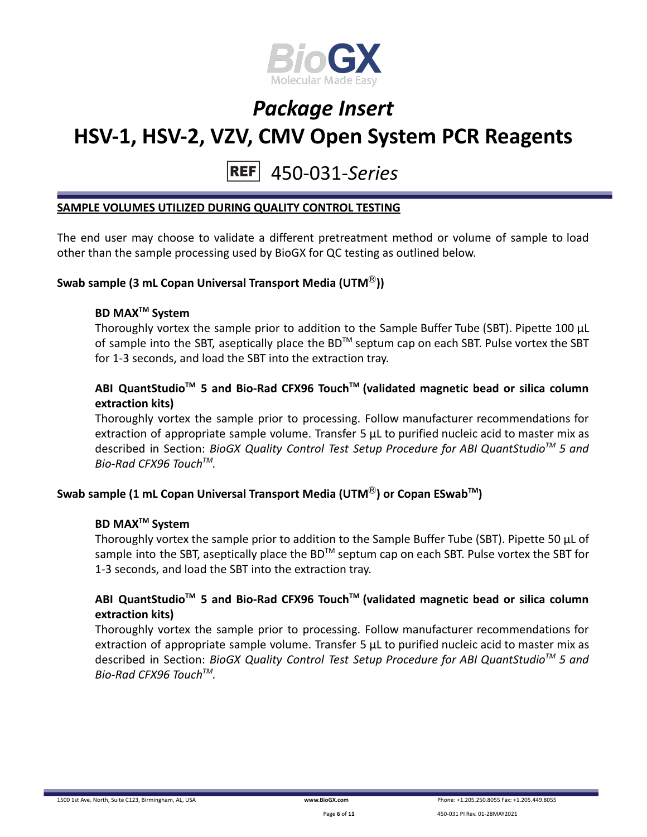

#### 450-031-*Series* **REF**

#### **SAMPLE VOLUMES UTILIZED DURING QUALITY CONTROL TESTING**

The end user may choose to validate a different pretreatment method or volume of sample to load other than the sample processing used by BioGX for QC testing as outlined below.

#### **Swab sample (3 mL Copan Universal Transport Media (UTM**Ⓡ**))**

### **BD MAXTM System**

Thoroughly vortex the sample prior to addition to the Sample Buffer Tube (SBT). Pipette 100 μL of sample into the SBT, aseptically place the BD<sup>TM</sup> septum cap on each SBT. Pulse vortex the SBT for 1-3 seconds, and load the SBT into the extraction tray.

### **ABI QuantStudioTM 5 and Bio-Rad CFX96 TouchTM (validated magnetic bead or silica column extraction kits)**

Thoroughly vortex the sample prior to processing. Follow manufacturer recommendations for extraction of appropriate sample volume. Transfer 5 μL to purified nucleic acid to master mix as described in Section: *BioGX Quality Control Test Setup Procedure for ABI QuantStudioTM 5 and Bio-Rad CFX96 TouchTM .*

### **Swab sample (1 mL Copan Universal Transport Media (UTM**Ⓡ**) or Copan ESwabTM )**

#### **BD MAXTM System**

Thoroughly vortex the sample prior to addition to the Sample Buffer Tube (SBT). Pipette 50 μL of sample into the SBT, aseptically place the BD<sup>™</sup> septum cap on each SBT. Pulse vortex the SBT for 1-3 seconds, and load the SBT into the extraction tray.

#### **ABI QuantStudioTM 5 and Bio-Rad CFX96 TouchTM (validated magnetic bead or silica column extraction kits)**

Thoroughly vortex the sample prior to processing. Follow manufacturer recommendations for extraction of appropriate sample volume. Transfer 5 μL to purified nucleic acid to master mix as described in Section: *BioGX Quality Control Test Setup Procedure for ABI QuantStudioTM 5 and Bio-Rad CFX96 TouchTM .*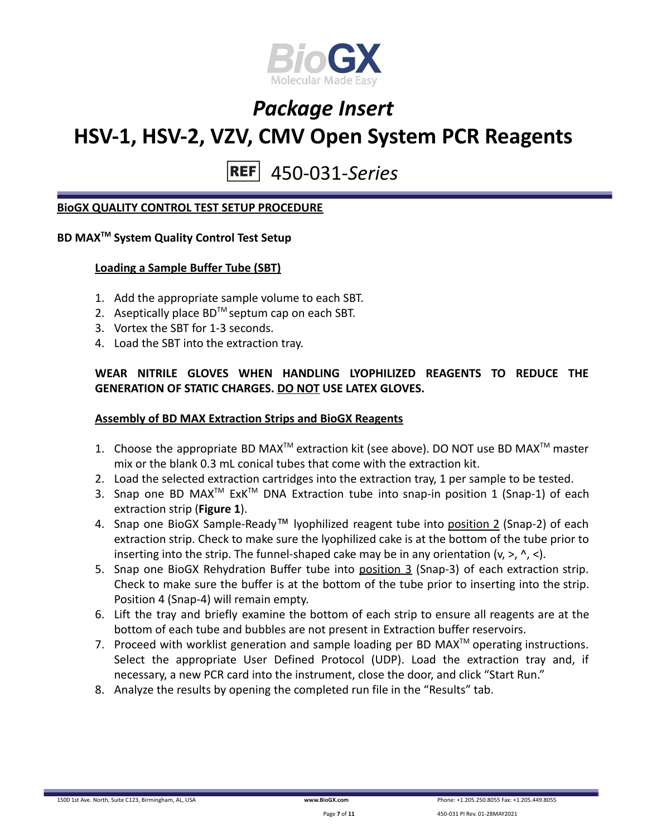

## 450-031-*Series*

#### **BioGX QUALITY CONTROL TEST SETUP PROCEDURE**

### **BD MAXTM System Quality Control Test Setup**

#### **Loading a Sample Buffer Tube (SBT)**

- 1. Add the appropriate sample volume to each SBT.
- 2. Aseptically place  $BD^{TM}$  septum cap on each SBT.
- 3. Vortex the SBT for 1-3 seconds.
- 4. Load the SBT into the extraction tray.

#### **WEAR NITRILE GLOVES WHEN HANDLING LYOPHILIZED REAGENTS TO REDUCE THE GENERATION OF STATIC CHARGES. DO NOT USE LATEX GLOVES.**

#### **Assembly of BD MAX Extraction Strips and BioGX Reagents**

- 1. Choose the appropriate BD MAX<sup>TM</sup> extraction kit (see above). DO NOT use BD MAX<sup>TM</sup> master mix or the blank 0.3 mL conical tubes that come with the extraction kit.
- 2. Load the selected extraction cartridges into the extraction tray, 1 per sample to be tested.
- 3. Snap one BD MAX<sup>™</sup> ExK<sup>™</sup> DNA Extraction tube into snap-in position 1 (Snap-1) of each extraction strip (**Figure 1**).
- 4. Snap one BioGX Sample-Ready™ lyophilized reagent tube into position 2 (Snap-2) of each extraction strip. Check to make sure the lyophilized cake is at the bottom of the tube prior to inserting into the strip. The funnel-shaped cake may be in any orientation  $(v, >, \land, <)$ .
- 5. Snap one BioGX Rehydration Buffer tube into position 3 (Snap-3) of each extraction strip. Check to make sure the buffer is at the bottom of the tube prior to inserting into the strip. Position 4 (Snap-4) will remain empty.
- 6. Lift the tray and briefly examine the bottom of each strip to ensure all reagents are at the bottom of each tube and bubbles are not present in Extraction buffer reservoirs.
- 7. Proceed with worklist generation and sample loading per BD MAX $^{TM}$  operating instructions. Select the appropriate User Defined Protocol (UDP). Load the extraction tray and, if necessary, a new PCR card into the instrument, close the door, and click "Start Run."
- 8. Analyze the results by opening the completed run file in the "Results" tab.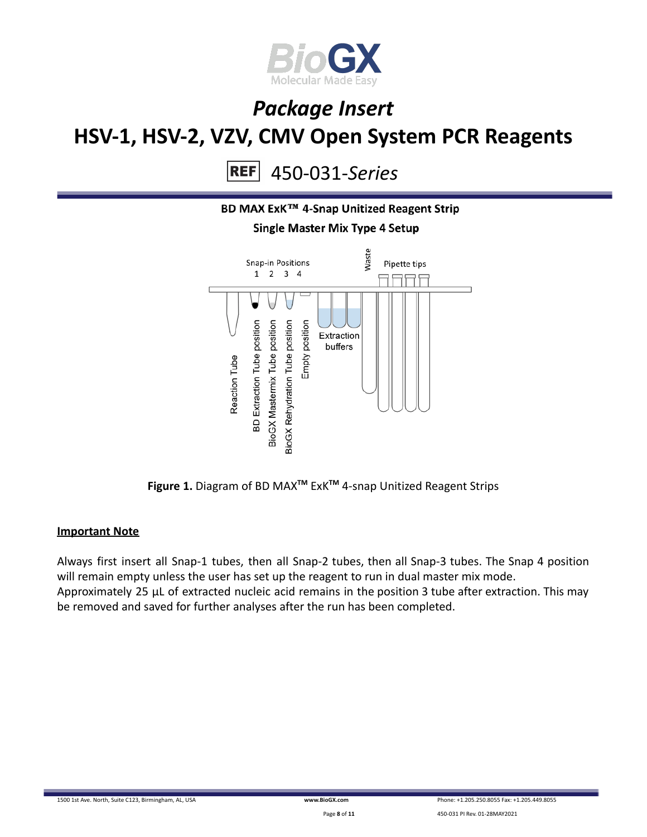

450-031-*Series*  $|REF|$ 



**Figure 1.** Diagram of BD MAX**TM** ExK**TM** 4-snap Unitized Reagent Strips

#### **Important Note**

Always first insert all Snap-1 tubes, then all Snap-2 tubes, then all Snap-3 tubes. The Snap 4 position will remain empty unless the user has set up the reagent to run in dual master mix mode. Approximately 25 µL of extracted nucleic acid remains in the position 3 tube after extraction. This may be removed and saved for further analyses after the run has been completed.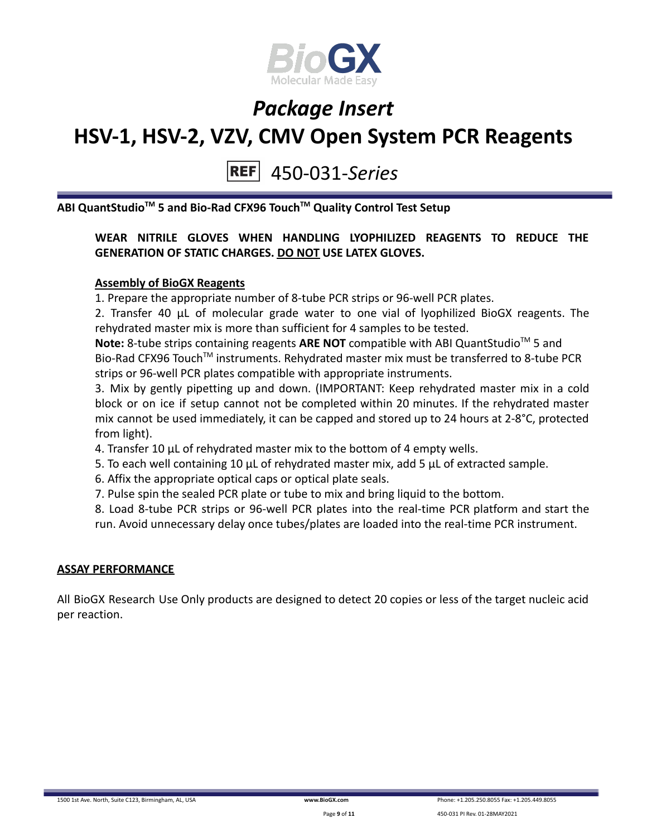

### 450-031-*Series*

**ABI QuantStudioTM 5 and Bio-Rad CFX96 TouchTM Quality Control Test Setup**

### **WEAR NITRILE GLOVES WHEN HANDLING LYOPHILIZED REAGENTS TO REDUCE THE GENERATION OF STATIC CHARGES. DO NOT USE LATEX GLOVES.**

#### **Assembly of BioGX Reagents**

1. Prepare the appropriate number of 8-tube PCR strips or 96-well PCR plates.

2. Transfer 40 μL of molecular grade water to one vial of lyophilized BioGX reagents. The rehydrated master mix is more than sufficient for 4 samples to be tested.

Note: 8-tube strips containing reagents ARE NOT compatible with ABI QuantStudio<sup>™</sup> 5 and Bio-Rad CFX96 Touch<sup>™</sup> instruments. Rehydrated master mix must be transferred to 8-tube PCR strips or 96-well PCR plates compatible with appropriate instruments.

3. Mix by gently pipetting up and down. (IMPORTANT: Keep rehydrated master mix in a cold block or on ice if setup cannot not be completed within 20 minutes. If the rehydrated master mix cannot be used immediately, it can be capped and stored up to 24 hours at 2-8°C, protected from light).

- 4. Transfer 10 μL of rehydrated master mix to the bottom of 4 empty wells.
- 5. To each well containing 10 μL of rehydrated master mix, add 5 μL of extracted sample.
- 6. Affix the appropriate optical caps or optical plate seals.
- 7. Pulse spin the sealed PCR plate or tube to mix and bring liquid to the bottom.

8. Load 8-tube PCR strips or 96-well PCR plates into the real-time PCR platform and start the run. Avoid unnecessary delay once tubes/plates are loaded into the real-time PCR instrument.

#### **ASSAY PERFORMANCE**

All BioGX Research Use Only products are designed to detect 20 copies or less of the target nucleic acid per reaction.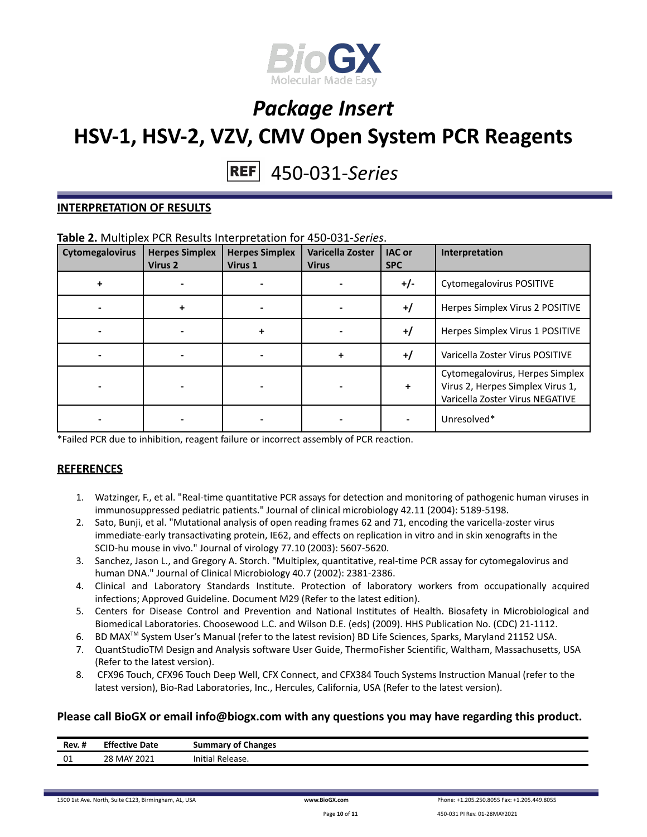

## 450-031-*Series*

#### **INTERPRETATION OF RESULTS**

#### **Table 2.** Multiplex PCR Results Interpretation for 450-031-*Series*.

| Cytomegalovirus | <b>Herpes Simplex</b><br>Virus 2 | <b>Herpes Simplex</b><br>Virus 1 | Varicella Zoster<br><b>Virus</b> | <b>IAC</b> or<br><b>SPC</b> | Interpretation                                                                                         |
|-----------------|----------------------------------|----------------------------------|----------------------------------|-----------------------------|--------------------------------------------------------------------------------------------------------|
| ٠               |                                  |                                  |                                  | $+/-$                       | Cytomegalovirus POSITIVE                                                                               |
|                 | ÷                                |                                  |                                  | $^{+/}$                     | Herpes Simplex Virus 2 POSITIVE                                                                        |
|                 |                                  | ÷                                |                                  | $+$ /                       | Herpes Simplex Virus 1 POSITIVE                                                                        |
|                 |                                  |                                  | +                                | $+$ /                       | Varicella Zoster Virus POSITIVE                                                                        |
|                 |                                  |                                  |                                  | $\ddotmark$                 | Cytomegalovirus, Herpes Simplex<br>Virus 2, Herpes Simplex Virus 1,<br>Varicella Zoster Virus NEGATIVE |
|                 |                                  |                                  |                                  |                             | Unresolved*                                                                                            |

\*Failed PCR due to inhibition, reagent failure or incorrect assembly of PCR reaction.

#### **REFERENCES**

- 1. Watzinger, F., et al. "Real-time quantitative PCR assays for detection and monitoring of pathogenic human viruses in immunosuppressed pediatric patients." Journal of clinical microbiology 42.11 (2004): 5189-5198.
- 2. Sato, Bunji, et al. "Mutational analysis of open reading frames 62 and 71, encoding the varicella-zoster virus immediate-early transactivating protein, IE62, and effects on replication in vitro and in skin xenografts in the SCID-hu mouse in vivo." Journal of virology 77.10 (2003): 5607-5620.
- 3. Sanchez, Jason L., and Gregory A. Storch. "Multiplex, quantitative, real-time PCR assay for cytomegalovirus and human DNA." Journal of Clinical Microbiology 40.7 (2002): 2381-2386.
- 4. Clinical and Laboratory Standards Institute. Protection of laboratory workers from occupationally acquired infections; Approved Guideline. Document M29 (Refer to the latest edition).
- 5. Centers for Disease Control and Prevention and National Institutes of Health. Biosafety in Microbiological and Biomedical Laboratories. Choosewood L.C. and Wilson D.E. (eds) (2009). HHS Publication No. (CDC) 21-1112.
- 6. BD MAX<sup>™</sup> System User's Manual (refer to the latest revision) BD Life Sciences, Sparks, Maryland 21152 USA.
- 7. QuantStudioTM Design and Analysis software User Guide, ThermoFisher Scientific, Waltham, Massachusetts, USA (Refer to the latest version).
- 8. CFX96 Touch, CFX96 Touch Deep Well, CFX Connect, and CFX384 Touch Systems Instruction Manual (refer to the latest version), Bio-Rad Laboratories, Inc., Hercules, California, USA (Refer to the latest version).

#### **Please call BioGX or email info@biogx.com with any questions you may have regarding this product.**

| $\cdot$ .<br>Rev. # | <b>Effective Date</b>   | <b>Summary of Changes</b> |
|---------------------|-------------------------|---------------------------|
| ω1<br>∪⊥            | ? MAY 2021<br>າດ<br>20. | Release.<br>Initial       |

1500 1st Ave. North, Suite C123, Birmingham, AL, USA **[www.BioGX.com](http://www.biogx.com/eu)** Phone: +1.205.250.8055 Fax: +1.205.449.8055